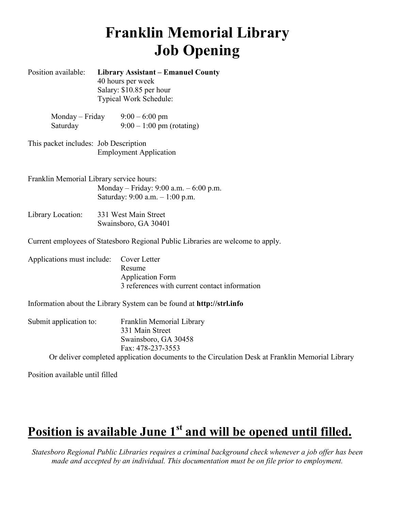# **Franklin Memorial Library Job Opening**

| Position available:                      |  | <b>Library Assistant – Emanuel County</b><br>40 hours per week<br>Salary: \$10.85 per hour<br>Typical Work Schedule: |
|------------------------------------------|--|----------------------------------------------------------------------------------------------------------------------|
| $Monday - Friday$<br>Saturday            |  | $9:00 - 6:00$ pm<br>$9:00 - 1:00$ pm (rotating)                                                                      |
| This packet includes: Job Description    |  | <b>Employment Application</b>                                                                                        |
| Franklin Memorial Library service hours: |  | Monday – Friday: 9:00 a.m. – 6:00 p.m.<br>Saturday: 9:00 a.m. - 1:00 p.m.                                            |
| Library Location:                        |  | 331 West Main Street<br>Swainsboro, GA 30401                                                                         |
|                                          |  | Current employees of Statesboro Regional Public Libraries are welcome to apply.                                      |
| Applications must include:               |  | Cover Letter<br>Resume<br><b>Application Form</b><br>3 references with current contact information                   |
|                                          |  | Information about the Library System can be found at <b>http://strl.info</b>                                         |
| Submit application to:                   |  | Franklin Memorial Library<br>331 Main Street<br>Swainsboro, GA 30458<br>Fax: 478-237-3553                            |
|                                          |  | Or deliver completed application documents to the Circulation Desk at Franklin                                       |

Position available until filled

# **Position is available June 1st and will be opened until filled.**

*Statesboro Regional Public Libraries requires a criminal background check whenever a job offer has been made and accepted by an individual. This documentation must be on file prior to employment.*

Memorial Library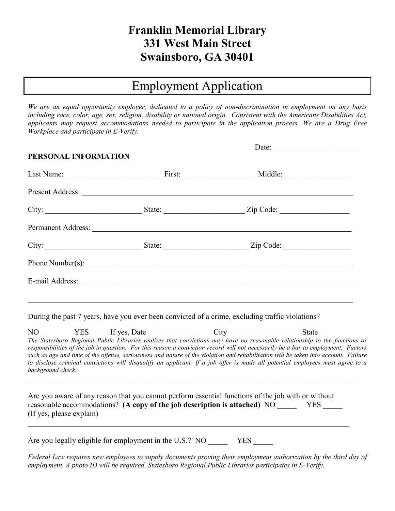# **Franklin Memorial Library 331 West Main Street Swainsboro, GA 30401**

# Employment Application

*We are an equal opportunity employer, dedicated to a policy of non-discrimination in employment on any basis including race, color, age, sex, religion, disability or national origin. Consistent with the Americans Disabilities Act, applicants may request accommodations needed to participate in the application process. We are a Drug Free Workplace and participate in E-Verify.* 

| PERSONAL INFORMATION |                    | Date: $\qquad \qquad$ |  |
|----------------------|--------------------|-----------------------|--|
|                      |                    |                       |  |
|                      |                    |                       |  |
|                      |                    |                       |  |
|                      | Permanent Address: |                       |  |
|                      |                    | State: Zip Code:      |  |
|                      | Phone Number(s):   |                       |  |
|                      | E-mail Address:    |                       |  |
|                      |                    |                       |  |

During the past 7 years, have you ever been convicted of a crime, excluding traffic violations?

NO YES If yes, Date City City *The Statesboro Regional Public Libraries realizes that convictions may have no reasonable relationship to the functions or responsibilities of the job in question. For this reason a conviction record will not necessarily be a bar to employment. Factors such as age and time of the offense, seriousness and nature of the violation and rehabilitation will be taken into account. Failure to disclose criminal convictions will disqualify an applicant. If a job offer is made all potential employees must agree to a background check.*

Are you aware of any reason that you cannot perform essential functions of the job with or without reasonable accommodations? **(A copy of the job description is attached)** NO YES (If yes, please explain)

Are you legally eligible for employment in the U.S.? NO YES

Federal Law requires new employees to supply documents proving their employment authorization by the third day of *employment. A photo ID will be required. Statesboro Regional Public Libraries participates in E-Verify.*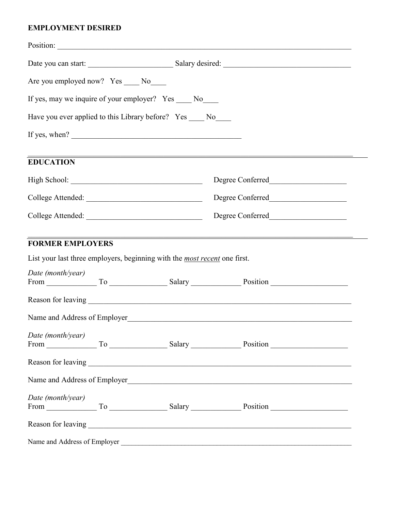# **EMPLOYMENT DESIRED**

| Are you employed now? Yes ____ No____                    |  |                                                                                  |                                        |  |  |  |
|----------------------------------------------------------|--|----------------------------------------------------------------------------------|----------------------------------------|--|--|--|
| If yes, may we inquire of your employer? Yes ____ No____ |  |                                                                                  |                                        |  |  |  |
|                                                          |  | Have you ever applied to this Library before? Yes ____ No____                    |                                        |  |  |  |
|                                                          |  | If yes, when? $\qquad \qquad$                                                    |                                        |  |  |  |
| <b>EDUCATION</b>                                         |  |                                                                                  |                                        |  |  |  |
|                                                          |  |                                                                                  |                                        |  |  |  |
|                                                          |  |                                                                                  |                                        |  |  |  |
|                                                          |  |                                                                                  |                                        |  |  |  |
|                                                          |  | List your last three employers, beginning with the <i>most recent</i> one first. | <b>FORMER EMPLOYERS</b>                |  |  |  |
| Date (month/year)                                        |  |                                                                                  | From To To Salary Position             |  |  |  |
|                                                          |  |                                                                                  |                                        |  |  |  |
|                                                          |  |                                                                                  |                                        |  |  |  |
| Date (month/year)                                        |  |                                                                                  |                                        |  |  |  |
|                                                          |  |                                                                                  |                                        |  |  |  |
|                                                          |  |                                                                                  | Name and Address of Employer           |  |  |  |
| Date (month/year)                                        |  |                                                                                  | From To German Holland Salary Rosition |  |  |  |
|                                                          |  |                                                                                  |                                        |  |  |  |
|                                                          |  |                                                                                  |                                        |  |  |  |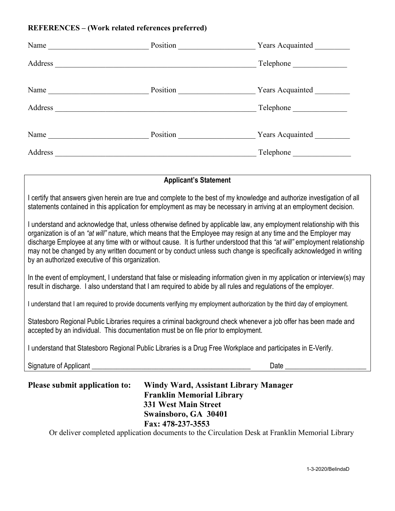#### **REFERENCES – (Work related references preferred)**

| Name<br>the control of the control of the control of | Position | <b>Years Acquainted</b> |
|------------------------------------------------------|----------|-------------------------|
| Address                                              |          | Telephone               |
| Name                                                 | Position | Years Acquainted _      |
| Address                                              |          | Telephone               |
| Name                                                 | Position | Years Acquainted        |
| Address                                              |          | Telephone               |

#### **Applicant's Statement**

I certify that answers given herein are true and complete to the best of my knowledge and authorize investigation of all statements contained in this application for employment as may be necessary in arriving at an employment decision.

I understand and acknowledge that, unless otherwise defined by applicable law, any employment relationship with this organization is of an *"at will"* nature, which means that the Employee may resign at any time and the Employer may discharge Employee at any time with or without cause. It is further understood that this *"at will"* employment relationship may not be changed by any written document or by conduct unless such change is specifically acknowledged in writing by an authorized executive of this organization.

In the event of employment, I understand that false or misleading information given in my application or interview(s) may result in discharge. I also understand that I am required to abide by all rules and regulations of the employer.

I understand that I am required to provide documents verifying my employment authorization by the third day of employment.

Statesboro Regional Public Libraries requires a criminal background check whenever a job offer has been made and accepted by an individual. This documentation must be on file prior to employment.

I understand that Statesboro Regional Public Libraries is a Drug Free Workplace and participates in E-Verify.

Signature of Applicant **Exercise 2** and the set of Applicant **Contract Contract Contract Contract Contract Contract Contract Contract Contract Contract Contract Contract Contract Contract Contract Contract Contract Contrac** 

| <b>Please submit application to:</b> | Windy Ward, Assistant Library Manager |
|--------------------------------------|---------------------------------------|
|                                      | <b>Franklin Memorial Library</b>      |
|                                      | <b>331 West Main Street</b>           |
|                                      | Swainsboro, GA 30401                  |
|                                      | Fax: 478-237-3553                     |

Or deliver completed application documents to the Circulation Desk at Franklin Memorial Library

1-3-2020/BelindaD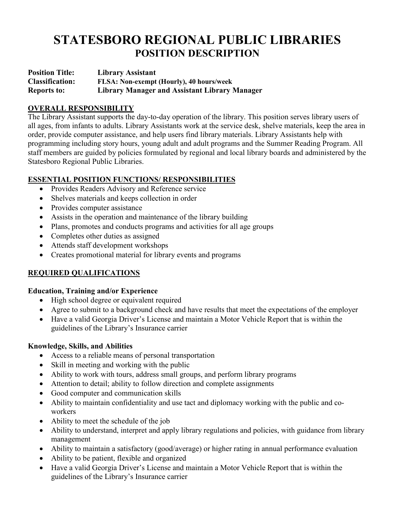# **STATESBORO REGIONAL PUBLIC LIBRARIES POSITION DESCRIPTION**

**Position Title: Library Assistant Classification: FLSA: Non-exempt (Hourly), 40 hours/week Reports to: Library Manager and Assistant Library Manager** 

### **OVERALL RESPONSIBILITY**

The Library Assistant supports the day-to-day operation of the library. This position serves library users of all ages, from infants to adults. Library Assistants work at the service desk, shelve materials, keep the area in order, provide computer assistance, and help users find library materials. Library Assistants help with programming including story hours, young adult and adult programs and the Summer Reading Program. All staff members are guided by policies formulated by regional and local library boards and administered by the Statesboro Regional Public Libraries.

#### **ESSENTIAL POSITION FUNCTIONS/ RESPONSIBILITIES**

- Provides Readers Advisory and Reference service
- Shelves materials and keeps collection in order
- Provides computer assistance
- Assists in the operation and maintenance of the library building
- Plans, promotes and conducts programs and activities for all age groups
- Completes other duties as assigned
- Attends staff development workshops
- Creates promotional material for library events and programs

# **REQUIRED QUALIFICATIONS**

#### **Education, Training and/or Experience**

- High school degree or equivalent required
- Agree to submit to a background check and have results that meet the expectations of the employer
- Have a valid Georgia Driver's License and maintain a Motor Vehicle Report that is within the guidelines of the Library's Insurance carrier

#### **Knowledge, Skills, and Abilities**

- Access to a reliable means of personal transportation
- Skill in meeting and working with the public
- Ability to work with tours, address small groups, and perform library programs
- Attention to detail; ability to follow direction and complete assignments
- Good computer and communication skills
- Ability to maintain confidentiality and use tact and diplomacy working with the public and coworkers
- Ability to meet the schedule of the job
- Ability to understand, interpret and apply library regulations and policies, with guidance from library management
- Ability to maintain a satisfactory (good/average) or higher rating in annual performance evaluation
- Ability to be patient, flexible and organized
- Have a valid Georgia Driver's License and maintain a Motor Vehicle Report that is within the guidelines of the Library's Insurance carrier